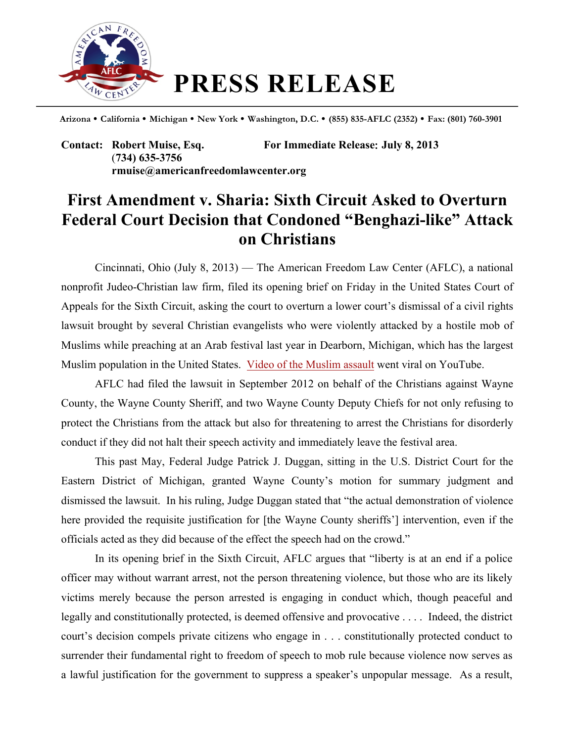

**Arizona California Michigan New York Washington, D.C. (855) 835-AFLC (2352) Fax: (801) 760-3901**

**Contact: Robert Muise, Esq. For Immediate Release**: **July 8, 2013** (**734) 635-3756 rmuise@americanfreedomlawcenter.org**

## **First Amendment v. Sharia: Sixth Circuit Asked to Overturn Federal Court Decision that Condoned "Benghazi-like" Attack on Christians**

Cincinnati, Ohio (July 8, 2013) — The American Freedom Law Center (AFLC), a national nonprofit Judeo-Christian law firm, filed its opening brief on Friday in the United States Court of Appeals for the Sixth Circuit, asking the court to overturn a lower court's dismissal of a civil rights lawsuit brought by several Christian evangelists who were violently attacked by a hostile mob of Muslims while preaching at an Arab festival last year in Dearborn, Michigan, which has the largest Muslim population in the United States. Video of the Muslim assault went viral on YouTube.

AFLC had filed the lawsuit in September 2012 on behalf of the Christians against Wayne County, the Wayne County Sheriff, and two Wayne County Deputy Chiefs for not only refusing to protect the Christians from the attack but also for threatening to arrest the Christians for disorderly conduct if they did not halt their speech activity and immediately leave the festival area.

This past May, Federal Judge Patrick J. Duggan, sitting in the U.S. District Court for the Eastern District of Michigan, granted Wayne County's motion for summary judgment and dismissed the lawsuit. In his ruling, Judge Duggan stated that "the actual demonstration of violence here provided the requisite justification for [the Wayne County sheriffs'] intervention, even if the officials acted as they did because of the effect the speech had on the crowd."

In its opening brief in the Sixth Circuit, AFLC argues that "liberty is at an end if a police officer may without warrant arrest, not the person threatening violence, but those who are its likely victims merely because the person arrested is engaging in conduct which, though peaceful and legally and constitutionally protected, is deemed offensive and provocative . . . . Indeed, the district court's decision compels private citizens who engage in . . . constitutionally protected conduct to surrender their fundamental right to freedom of speech to mob rule because violence now serves as a lawful justification for the government to suppress a speaker's unpopular message. As a result,